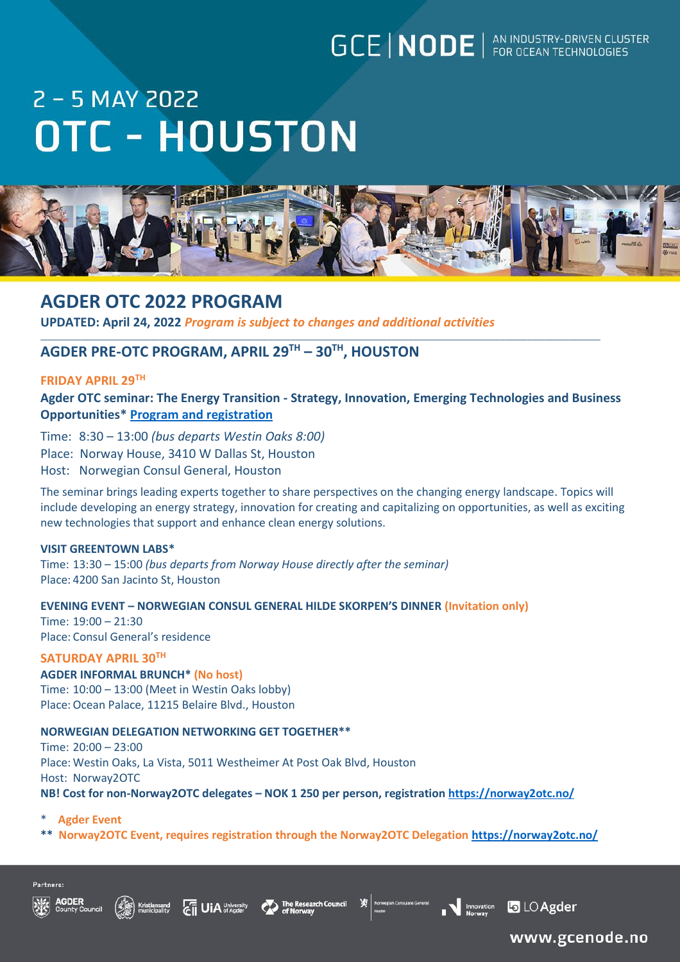# **GCE | NODE** | AN INDUSTRY-DRIVEN CLUSTER

# 2 - 5 MAY 2022 **OTC - HOUSTON**



# **AGDER OTC 2022 PROGRAM**

**UPDATED: April 24, 2022** *Program is subject to changes and additional activities*

# **AGDER PRE-OTC PROGRAM, APRIL 29TH – 30TH, HOUSTON**

# **FRIDAY APRIL 29TH**

**Agder OTC seminar: The Energy Transition - Strategy, Innovation, Emerging Technologies and Business Opportunities\* [Program and registration](https://gcenode.no/event/agder-otc-seminar-the-energy-transition/)**

\_\_\_\_\_\_\_\_\_\_\_\_\_\_\_\_\_\_\_\_\_\_\_\_\_\_\_\_\_\_\_\_\_\_\_\_\_\_\_\_\_\_\_\_\_\_\_\_\_\_\_\_\_\_\_\_\_\_\_\_\_\_\_\_\_\_\_\_\_\_\_\_\_\_\_\_\_\_\_\_\_\_\_\_\_\_\_\_\_\_\_\_\_\_\_\_\_\_\_\_\_\_\_\_\_\_\_\_\_\_\_\_\_\_\_\_\_\_\_\_\_\_\_

Time: 8:30 – 13:00 *(bus departs Westin Oaks 8:00)*

Place: Norway House, 3410 W Dallas St, Houston

Host: Norwegian Consul General, Houston

The seminar brings leading experts together to share perspectives on the changing energy landscape. Topics will include developing an energy strategy, innovation for creating and capitalizing on opportunities, as well as exciting new technologies that support and enhance clean energy solutions.

## **VISIT GREENTOWN LABS\***

Time: 13:30 – 15:00 *(bus departs from Norway House directly after the seminar)* Place: 4200 San Jacinto St, Houston

**EVENING EVENT – NORWEGIAN CONSUL GENERAL HILDE SKORPEN'S DINNER (Invitation only)**

Time: 19:00 – 21:30 Place: Consul General's residence

# **SATURDAY APRIL 30TH**

**AGDER INFORMAL BRUNCH\* (No host)** Time: 10:00 – 13:00 (Meet in Westin Oaks lobby) Place:Ocean Palace, 11215 Belaire Blvd., Houston

## **NORWEGIAN DELEGATION NETWORKING GET TOGETHER\*\***

Time: 20:00 – 23:00 Place: Westin Oaks, La Vista, 5011 Westheimer At Post Oak Blvd, Houston Host: Norway2OTC **NB! Cost for non-Norway2OTC delegates – NOK 1 250 per person, registration<https://norway2otc.no/>**

- **Agder Event**
- **\*\* Norway2OTC Event, requires registration through the Norway2OTC Delegation<https://norway2otc.no/>**









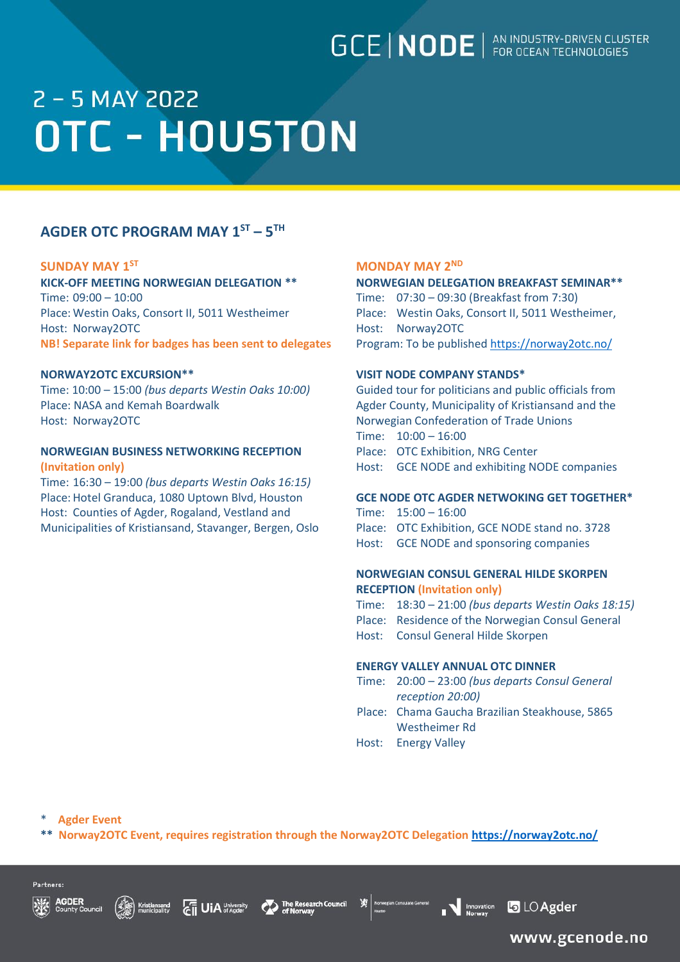# **GCE | NODE** | AN INDUSTRY-DRIVEN CLUSTER

# 2 - 5 MAY 2022 **OTC - HOUSTON**

# **AGDER OTC PROGRAM MAY 1 ST – 5 TH**

### **SUNDAY MAY 1**

Time: 09:00 – 10:00 Time: 07:30 – 09:30 (Breakfast from 7:30) Place: Westin Oaks, Consort II, 5011 Westheimer Place: Westin Oaks, Consort II, 5011 Westheimer, Host: Norway2OTC Host: Norway2OTC **NB! Separate link for badges has been sent to delegates** Program: To be published<https://norway2otc.no/>

Time: 10:00 – 15:00 *(bus departs Westin Oaks 10:00)* Guided tour for politicians and public officials from Place: NASA and Kemah Boardwalk Agder County, Municipality of Kristiansand and the Host: Norway2OTC **Norwegian Confederation of Trade Unions** 

# **NORWEGIAN BUSINESS NETWORKING RECEPTION** Place: OTC Exhibition, NRG Center **(Invitation only)** Host: GCE NODE and exhibiting NODE companies

Time: 16:30 – 19:00 *(bus departs Westin Oaks 16:15)* Place: Hotel Granduca, 1080 Uptown Blvd, Houston **GCE NODE OTC AGDER NETWOKING GET TOGETHER\*** Host: Counties of Agder, Rogaland, Vestland and Time: 15:00 - 16:00 Municipalities of Kristiansand, Stavanger, Bergen, Oslo Place: OTC Exhibition, GCE NODE stand no. 3728

# **MONDAY MAY 2<sup>ND</sup> MONDAY MAY 2<sup>ND</sup>**

### **KICK-OFF MEETING NORWEGIAN DELEGATION \*\* NORWEGIAN DELEGATION BREAKFAST SEMINAR\*\***

## **NORWAY2OTC EXCURSION\*\* VISIT NODE COMPANY STANDS\***

Time: 10:00 – 16:00

- 
- 
- Host: GCE NODE and sponsoring companies

# **NORWEGIAN CONSUL GENERAL HILDE SKORPEN RECEPTION (Invitation only)**

- Time: 18:30 21:00 *(bus departs Westin Oaks 18:15)*
- Place: Residence of the Norwegian Consul General
- Host: Consul General Hilde Skorpen

### **ENERGY VALLEY ANNUAL OTC DINNER**

Salar General **Contract Contract Contract Contract Contract Contract Contract Contract Contract Contract Contract Contract Contract Contract Contract Contract Contract Contract Contract Contract Contract Contract Contract** 

- Time: 20:00 23:00 *(bus departs Consul General reception 20:00)*
- Place: Chama Gaucha Brazilian Steakhouse, 5865 Westheimer Rd
- Host: Energy Valley

**Agder Event** 

Kristiansand<br>municipality

**\*\* Norway2OTC Event, requires registration through the Norway2OTC Delegation<https://norway2otc.no/>**

**CHE UIA** University CO The Research Council





**b** LO Agder